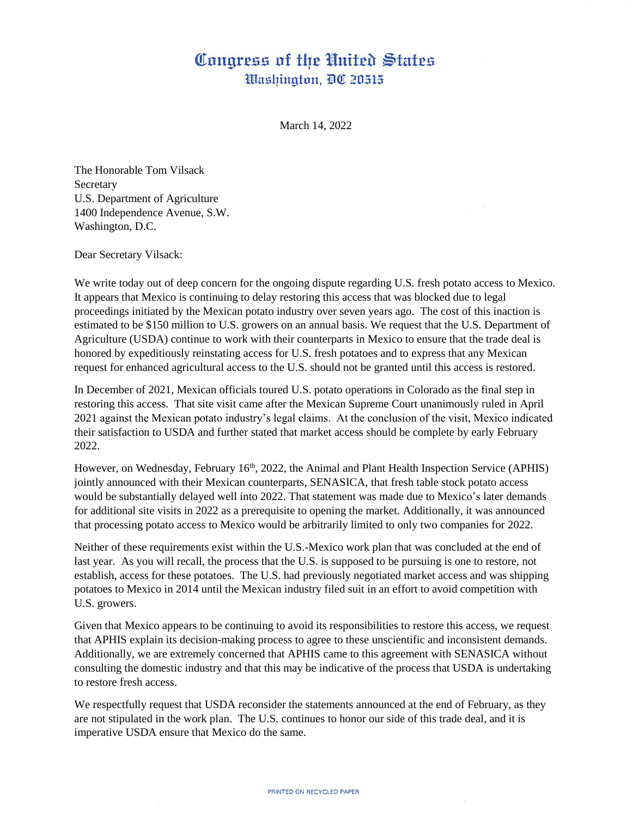## Congress of the United States Washington, DC 20515

March 14, 2022

The Honorable Tom Vilsack Secretary U.S. Department of Agriculture 1400 Independence Avenue, S.W. Washington, D.C.

Dear Secretary Vilsack:

We write today out of deep concern for the ongoing dispute regarding U.S. fresh potato access to Mexico. It appears that Mexico is continuing to delay restoring this access that was blocked due to legal proceedings initiated by the Mexican potato industry over seven years ago. The cost of this inaction is estimated to be \$150 million to U.S. growers on an annual basis. We request that the U.S. Department of Agriculture (USDA) continue to work with their counterparts in Mexico to ensure that the trade deal is honored by expeditiously reinstating access for U.S. fresh potatoes and to express that any Mexican request for enhanced agricultural access to the U.S. should not be granted until this access is restored.

In December of 2021, Mexican officials toured U.S. potato operations in Colorado as the final step in restoring this access. That site visit came after the Mexican Supreme Court unanimously ruled in April 2021 against the Mexican potato industry's legal claims. At the conclusion of the visit, Mexico indicated their satisfaction to USDA and further stated that market access should be complete by early February 2022.

However, on Wednesday, February 16<sup>th</sup>, 2022, the Animal and Plant Health Inspection Service (APHIS) jointly announced with their Mexican counterparts, SENASICA, that fresh table stock potato access would be substantially delayed well into 2022. That statement was made due to Mexico's later demands for additional site visits in 2022 as a prerequisite to opening the market. Additionally, it was announced that processing potato access to Mexico would be arbitrarily limited to only two companies for 2022.

Neither of these requirements exist within the U.S.-Mexico work plan that was concluded at the end of last year. As you will recall, the process that the U.S. is supposed to be pursuing is one to restore, not establish, access for these potatoes. The U.S. had previously negotiated market access and was shipping potatoes to Mexico in 2014 until the Mexican industry filed suit in an effort to avoid competition with U.S. growers.

Given that Mexico appears to be continuing to avoid its responsibilities to restore this access, we request that APHIS explain its decision-making process to agree to these unscientific and inconsistent demands. Additionally, we are extremely concerned that APHIS came to this agreement with SENASICA without consulting the domestic industry and that this may be indicative of the process that USDA is undertaking to restore fresh access.

We respectfully request that USDA reconsider the statements announced at the end of February, as they are not stipulated in the work plan. The U.S. continues to honor our side of this trade deal, and it is imperative USDA ensure that Mexico do the same.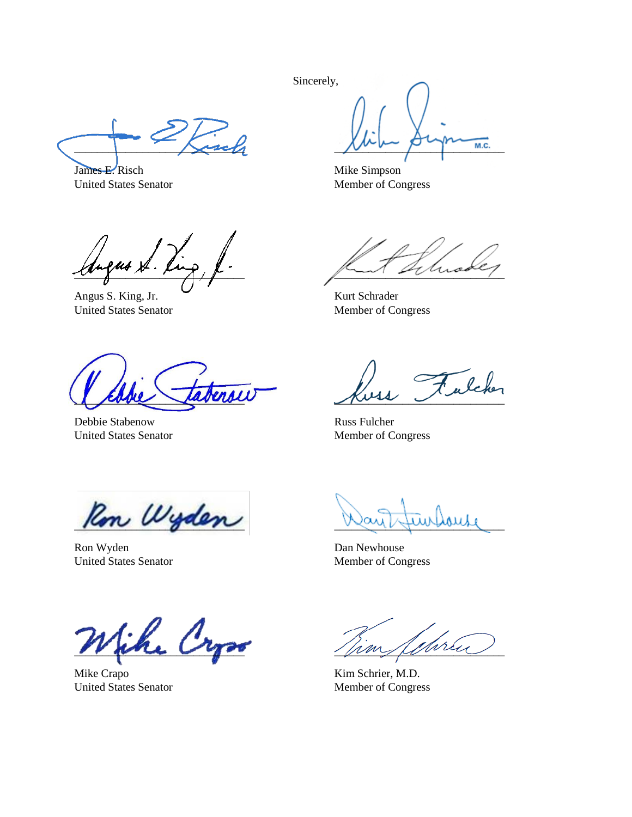Sincerely,

 $\mathcal{L}_\text{2c}$ 

James E. Risch United States Senator

 $\sim$   $\sim$   $\sim$   $\sim$   $\sim$   $\sim$   $\sim$   $\sim$ 

Mike Simpson Member of Congress

 $w\rightarrow w\rightarrow w$ 

Angus S. King, Jr. United States Senator

 $\overline{\text{endl}}$ 

Debbie Stabenow United States Senator

 $\sim$ 

Kurt Schrader Member of Congress

Julcher  $\sim$ 

Russ Fulcher Member of Congress

Rom Wyden

Ron Wyden United States Senator

an tuurbouse

Dan Newhouse Member of Congress

Sihe Cr

Mike Crapo United States Senator

 $\chi_{im}$  Schreu

Kim Schrier, M.D. Member of Congress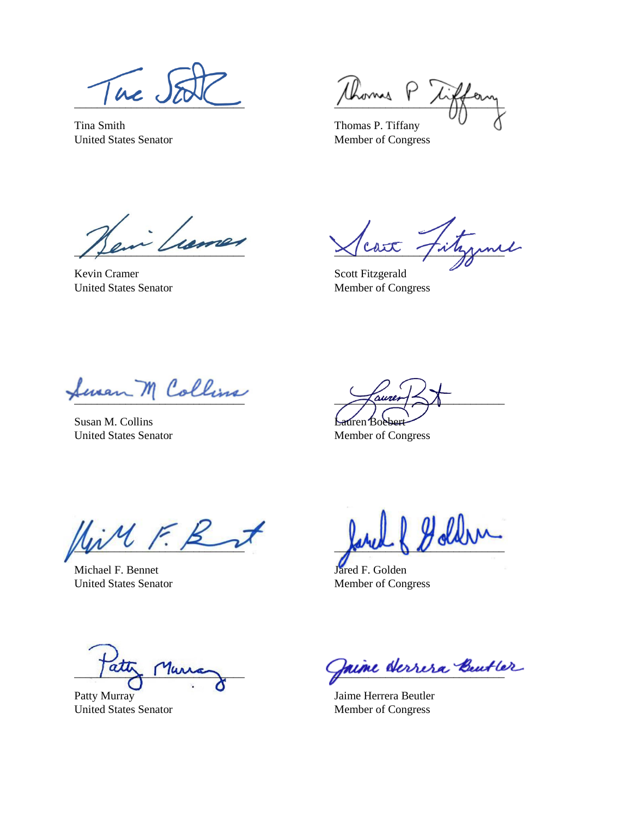Tue J

Tina Smith United States Senator

\_\_\_\_\_\_\_\_\_\_\_\_\_\_\_\_\_\_\_\_\_\_\_\_\_\_\_\_\_\_  $\varphi$ 

Thomas P. Tiffany Member of Congress

more  $\mu$ 

Kevin Cramer United States Senator

cart fitymul

Scott Fitzgerald Member of Congress

feran M Collins

Susan M. Collins United States Senator

 $\sqrt{a}$ urer $\ll 1$ auren Bo

Member of Congress

 $M \in \mathcal{B}$ 

Michael F. Bennet United States Senator

 $\mathcal{N}$ 

Jared F. Golden Member of Congress

 $\frac{1}{2}$ 

Patty Murray United States Senator

Jaine derrera Beutler

Jaime Herrera Beutler Member of Congress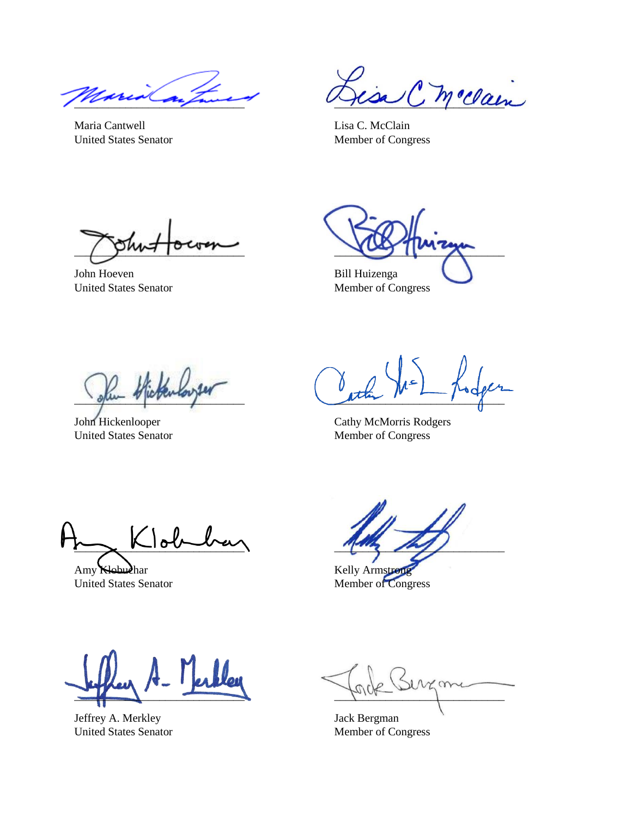$\mathbb{Z}_{\ell\ell\ell}$ 

Maria Cantwell United States Senator

C. m. clain

Lisa C. McClain Member of Congress

 $\sim$ 

John Hoeven United States Senator

 $\frac{1}{2}$ 

Bill Huizenga Member of Congress

 $\gamma$ 

John Hickenlooper United States Senator

 $\lambda$  $\frac{1}{\sqrt{2}}$ 

Cathy McMorris Rodgers Member of Congress

 $\Delta$ 

Amy Klobuchar United States Senator

 $\sim$ 

Kelly Armstron Member of Congress

 $\frac{1}{2}$ 

Jeffrey A. Merkley United States Senator

 $\infty$  $\epsilon$ 

Jack Bergman Member of Congress